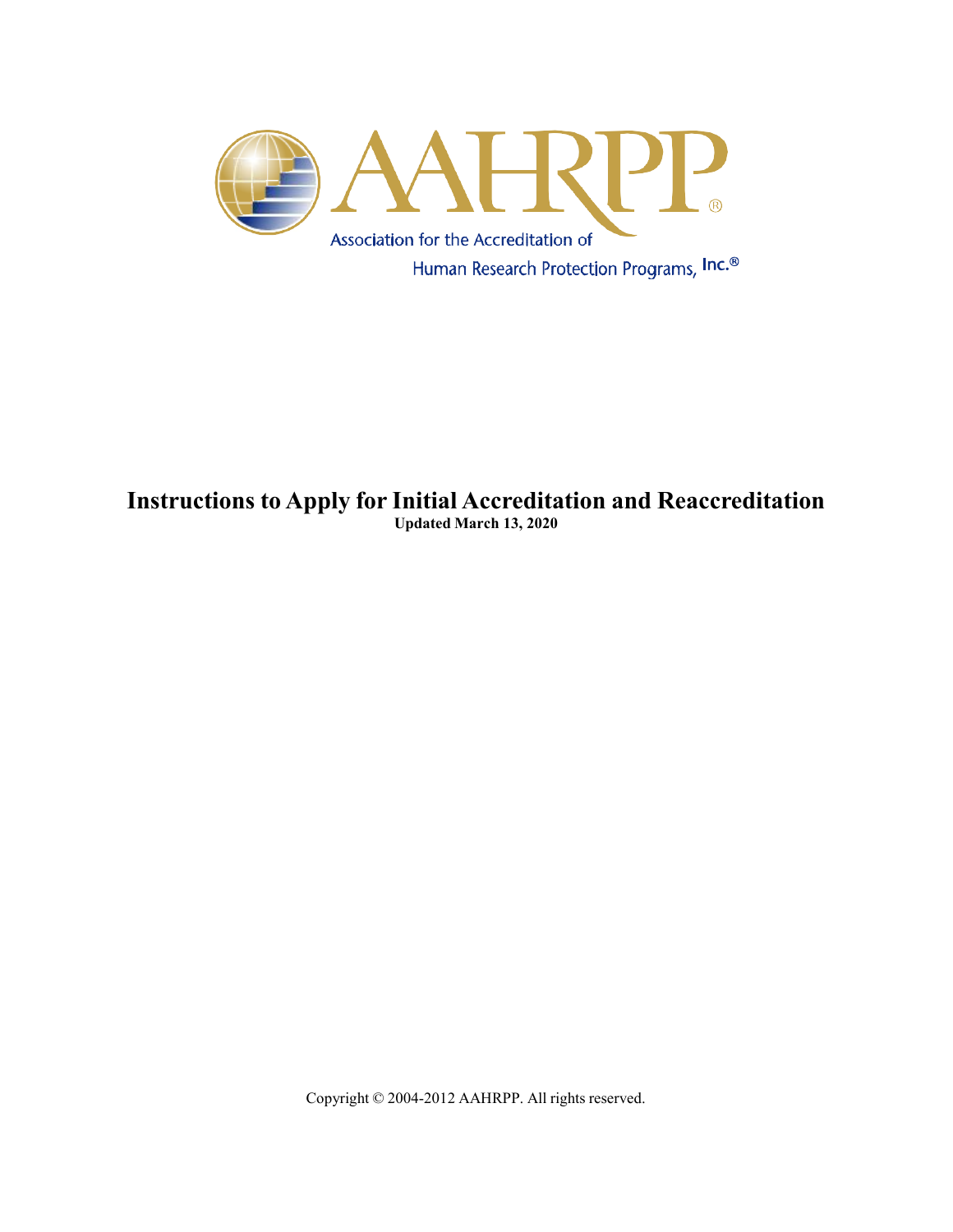

## **Instructions to Apply for Initial Accreditation and Reaccreditation Updated March 13, 2020**

Copyright © 2004-2012 AAHRPP. All rights reserved.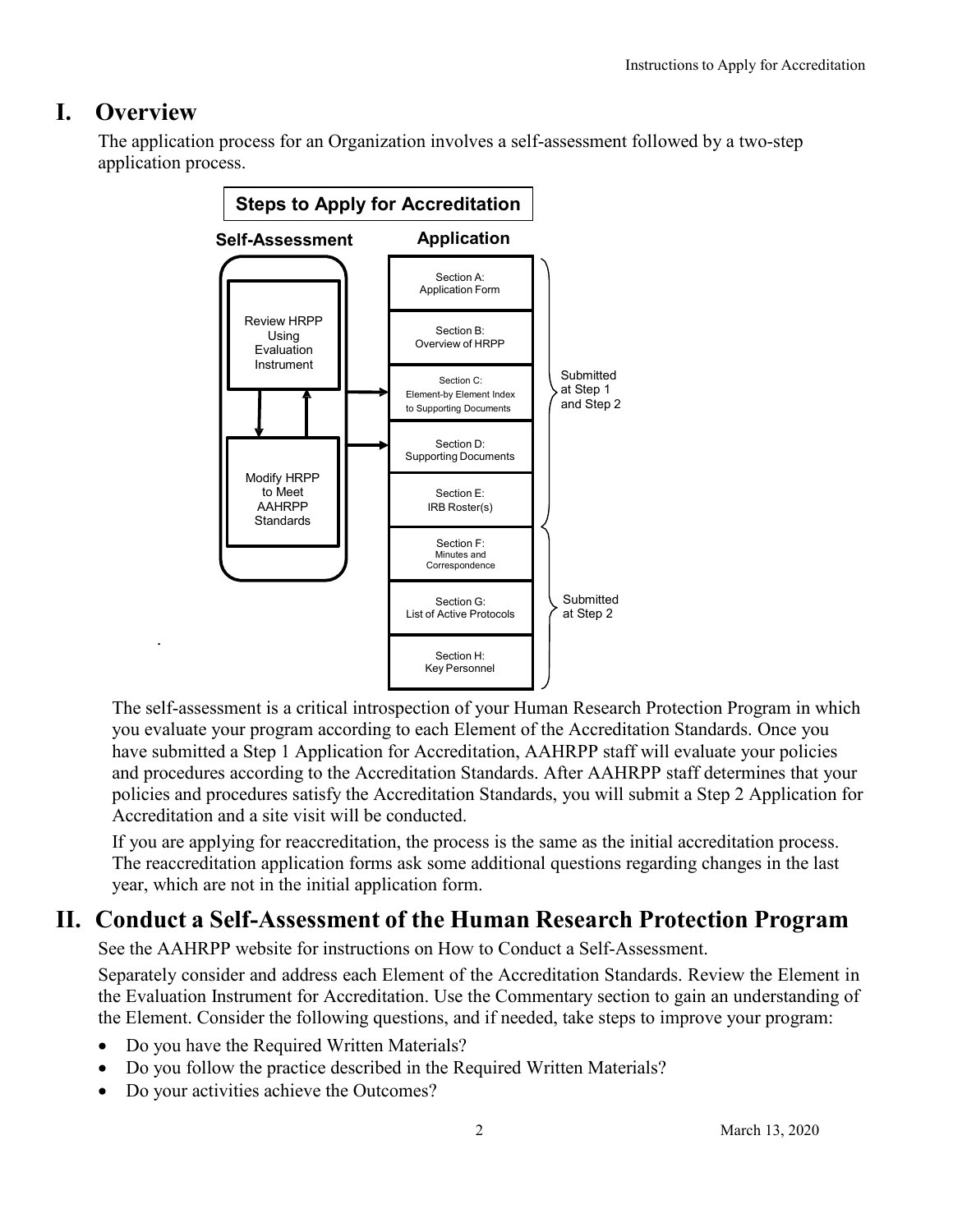## **I. Overview**

.

The application process for an Organization involves a self-assessment followed by a two-step application process.



The self-assessment is a critical introspection of your Human Research Protection Program in which you evaluate your program according to each Element of the Accreditation Standards. Once you have submitted a Step 1 Application for Accreditation, AAHRPP staff will evaluate your policies and procedures according to the Accreditation Standards. After AAHRPP staff determines that your policies and procedures satisfy the Accreditation Standards, you will submit a Step 2 Application for Accreditation and a site visit will be conducted.

If you are applying for reaccreditation, the process is the same as the initial accreditation process. The reaccreditation application forms ask some additional questions regarding changes in the last year, which are not in the initial application form.

## **II. Conduct a Self-Assessment of the Human Research Protection Program**

See the AAHRPP website for instructions on How to Conduct a Self-Assessment.

Separately consider and address each Element of the Accreditation Standards. Review the Element in the Evaluation Instrument for Accreditation. Use the Commentary section to gain an understanding of the Element. Consider the following questions, and if needed, take steps to improve your program:

- Do you have the Required Written Materials?
- Do you follow the practice described in the Required Written Materials?
- Do your activities achieve the Outcomes?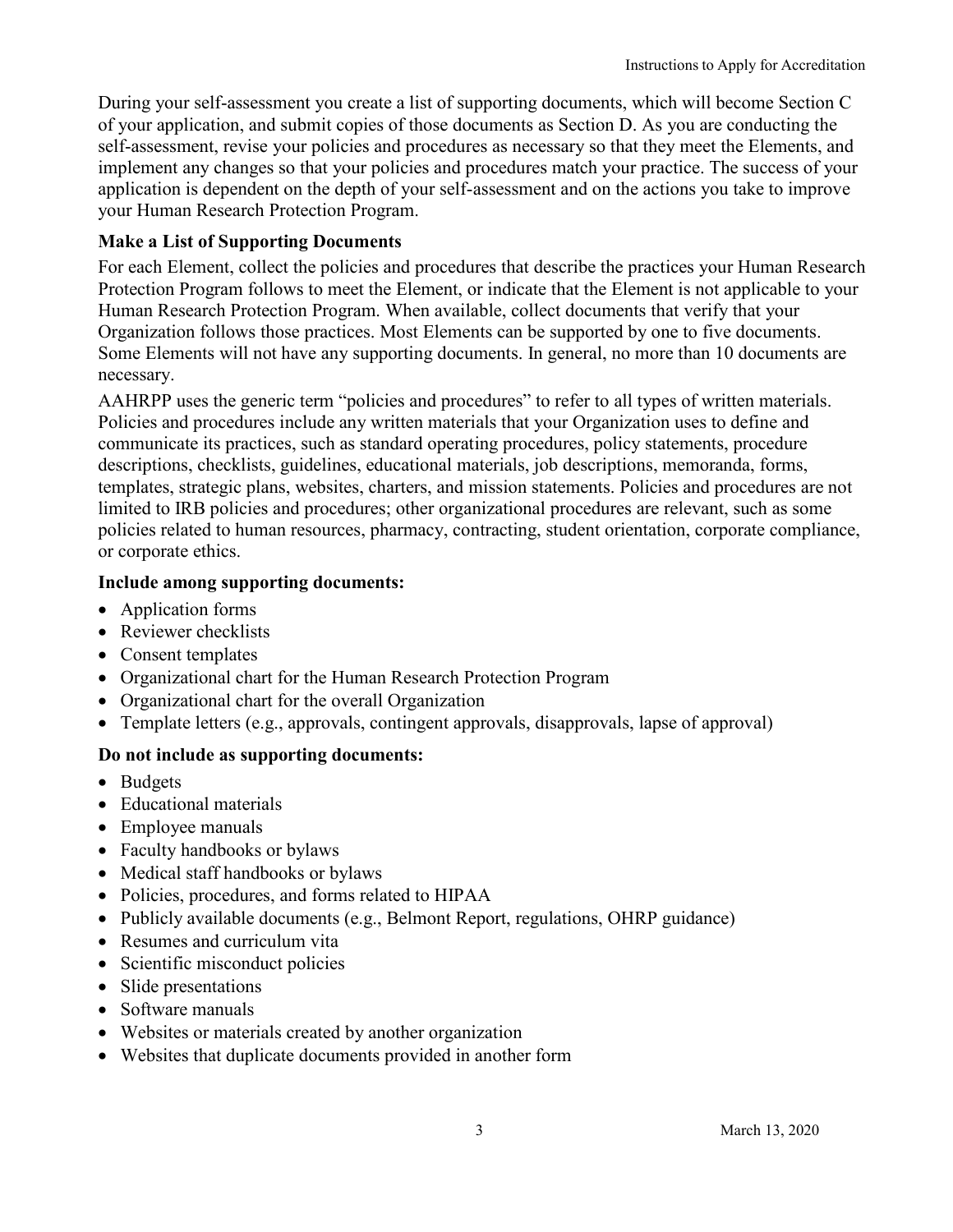During your self-assessment you create a list of supporting documents, which will become Section C of your application, and submit copies of those documents as Section D. As you are conducting the self-assessment, revise your policies and procedures as necessary so that they meet the Elements, and implement any changes so that your policies and procedures match your practice. The success of your application is dependent on the depth of your self-assessment and on the actions you take to improve your Human Research Protection Program.

#### **Make a List of Supporting Documents**

For each Element, collect the policies and procedures that describe the practices your Human Research Protection Program follows to meet the Element, or indicate that the Element is not applicable to your Human Research Protection Program. When available, collect documents that verify that your Organization follows those practices. Most Elements can be supported by one to five documents. Some Elements will not have any supporting documents. In general, no more than 10 documents are necessary.

AAHRPP uses the generic term "policies and procedures" to refer to all types of written materials. Policies and procedures include any written materials that your Organization uses to define and communicate its practices, such as standard operating procedures, policy statements, procedure descriptions, checklists, guidelines, educational materials, job descriptions, memoranda, forms, templates, strategic plans, websites, charters, and mission statements. Policies and procedures are not limited to IRB policies and procedures; other organizational procedures are relevant, such as some policies related to human resources, pharmacy, contracting, student orientation, corporate compliance, or corporate ethics.

#### **Include among supporting documents:**

- Application forms
- Reviewer checklists
- Consent templates
- Organizational chart for the Human Research Protection Program
- Organizational chart for the overall Organization
- Template letters (e.g., approvals, contingent approvals, disapprovals, lapse of approval)

#### **Do not include as supporting documents:**

- Budgets
- Educational materials
- Employee manuals
- Faculty handbooks or bylaws
- Medical staff handbooks or bylaws
- Policies, procedures, and forms related to HIPAA
- Publicly available documents (e.g., Belmont Report, regulations, OHRP guidance)
- Resumes and curriculum vita
- Scientific misconduct policies
- Slide presentations
- Software manuals
- Websites or materials created by another organization
- Websites that duplicate documents provided in another form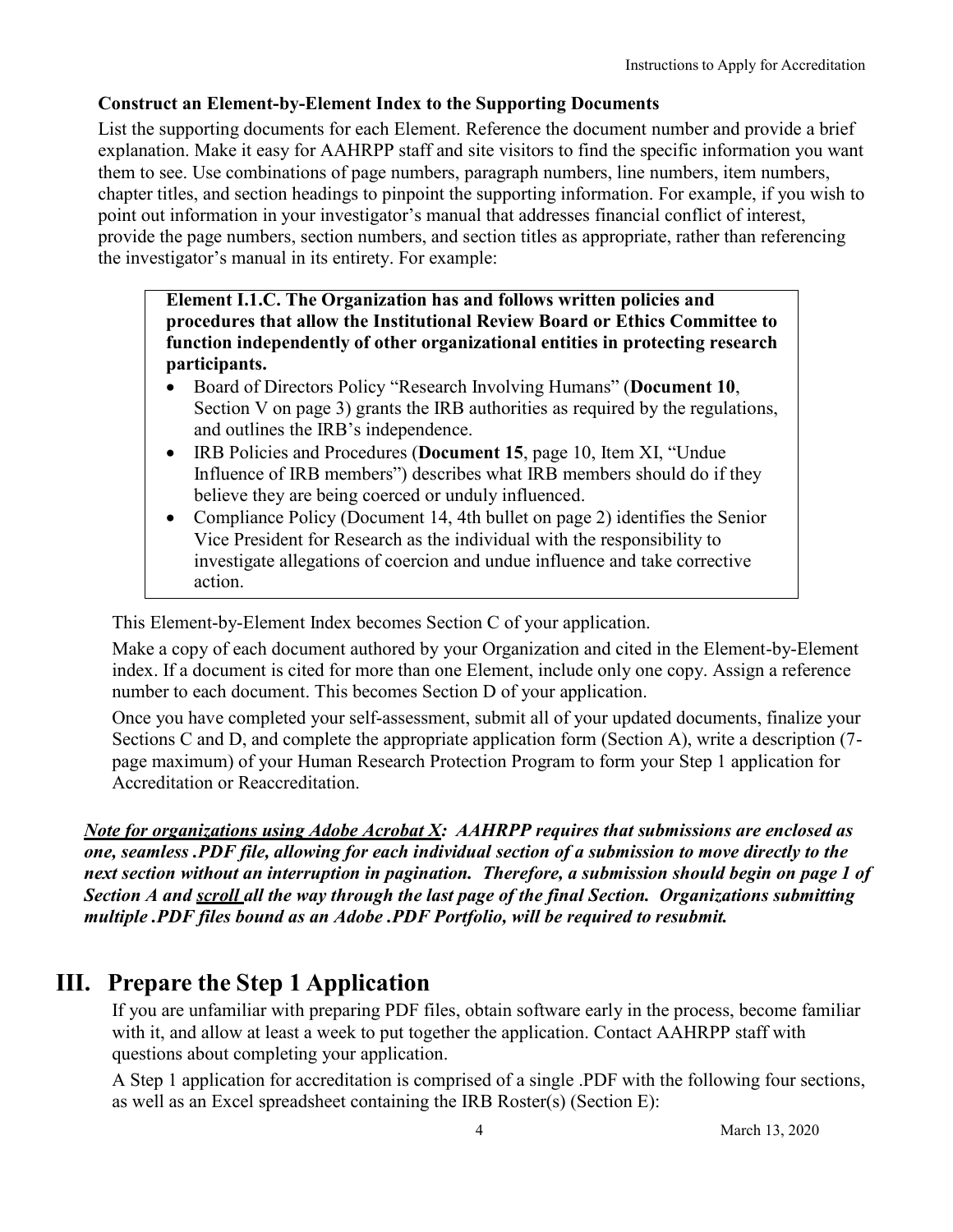#### **Construct an Element-by-Element Index to the Supporting Documents**

List the supporting documents for each Element. Reference the document number and provide a brief explanation. Make it easy for AAHRPP staff and site visitors to find the specific information you want them to see. Use combinations of page numbers, paragraph numbers, line numbers, item numbers, chapter titles, and section headings to pinpoint the supporting information. For example, if you wish to point out information in your investigator's manual that addresses financial conflict of interest, provide the page numbers, section numbers, and section titles as appropriate, rather than referencing the investigator's manual in its entirety. For example:

**Element I.1.C. The Organization has and follows written policies and procedures that allow the Institutional Review Board or Ethics Committee to function independently of other organizational entities in protecting research participants.**

- Board of Directors Policy "Research Involving Humans" (**Document 10**, Section V on page 3) grants the IRB authorities as required by the regulations, and outlines the IRB's independence.
- IRB Policies and Procedures (**Document 15**, page 10, Item XI, "Undue Influence of IRB members") describes what IRB members should do if they believe they are being coerced or unduly influenced.
- Compliance Policy (Document 14, 4th bullet on page 2) identifies the Senior Vice President for Research as the individual with the responsibility to investigate allegations of coercion and undue influence and take corrective action.

This Element-by-Element Index becomes Section C of your application.

Make a copy of each document authored by your Organization and cited in the Element-by-Element index. If a document is cited for more than one Element, include only one copy. Assign a reference number to each document. This becomes Section D of your application.

Once you have completed your self-assessment, submit all of your updated documents, finalize your Sections C and D, and complete the appropriate application form (Section A), write a description (7 page maximum) of your Human Research Protection Program to form your Step 1 application for Accreditation or Reaccreditation.

*Note for organizations using Adobe Acrobat X: AAHRPP requires that submissions are enclosed as one, seamless .PDF file, allowing for each individual section of a submission to move directly to the next section without an interruption in pagination. Therefore, a submission should begin on page 1 of Section A and scroll all the way through the last page of the final Section. Organizations submitting multiple .PDF files bound as an Adobe .PDF Portfolio, will be required to resubmit.*

# **III. Prepare the Step 1 Application**

If you are unfamiliar with preparing PDF files, obtain software early in the process, become familiar with it, and allow at least a week to put together the application. Contact AAHRPP staff with questions about completing your application.

A Step 1 application for accreditation is comprised of a single .PDF with the following four sections, as well as an Excel spreadsheet containing the IRB Roster(s) (Section E):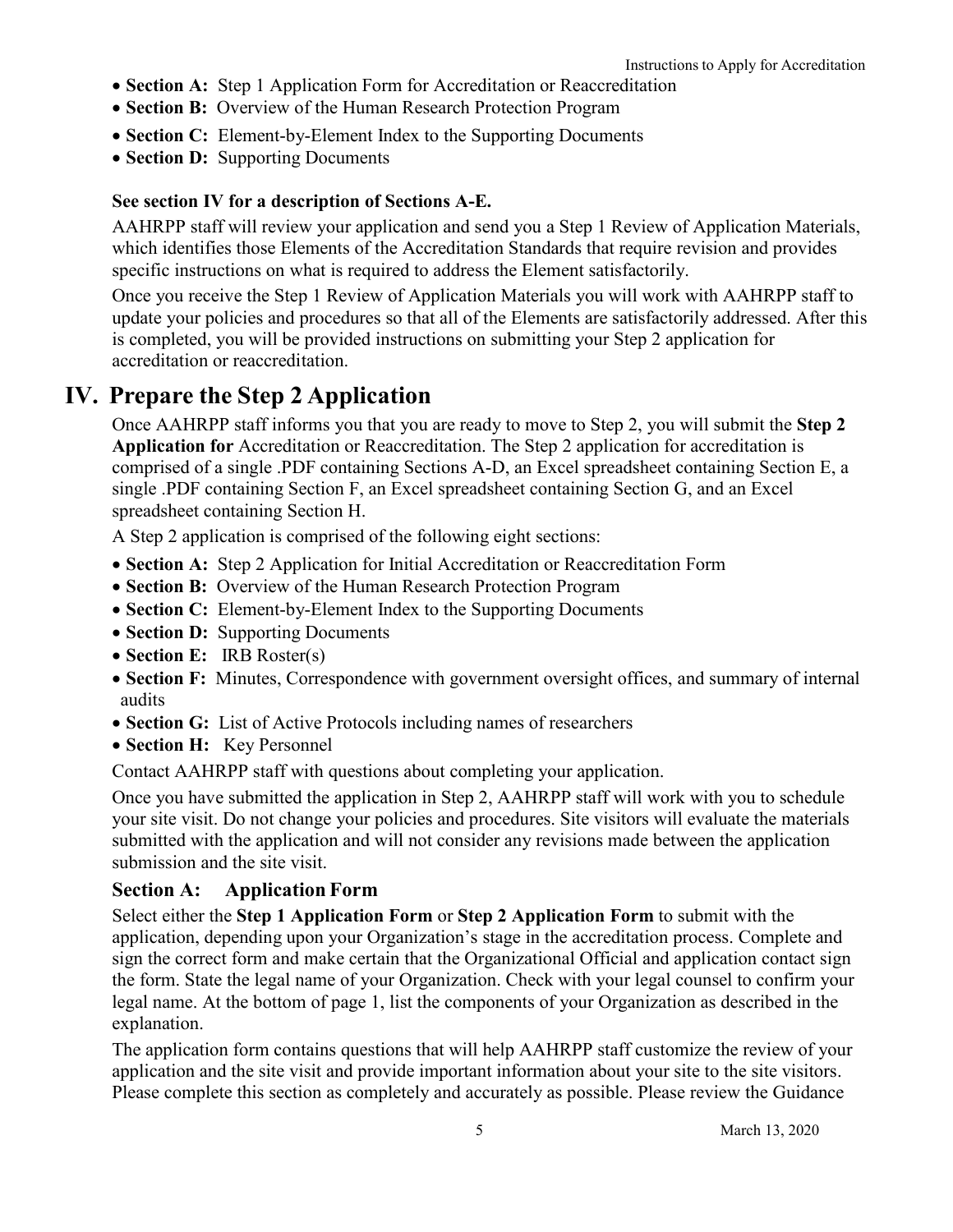- **Section A:** Step 1 Application Form for Accreditation or Reaccreditation
- **Section B:** Overview of the Human Research Protection Program
- **Section C:** Element-by-Element Index to the Supporting Documents
- **Section D:** Supporting Documents

#### **See section IV for a description of Sections A-E.**

AAHRPP staff will review your application and send you a Step 1 Review of Application Materials, which identifies those Elements of the Accreditation Standards that require revision and provides specific instructions on what is required to address the Element satisfactorily.

Once you receive the Step 1 Review of Application Materials you will work with AAHRPP staff to update your policies and procedures so that all of the Elements are satisfactorily addressed. After this is completed, you will be provided instructions on submitting your Step 2 application for accreditation or reaccreditation.

# **IV. Prepare the Step 2 Application**

Once AAHRPP staff informs you that you are ready to move to Step 2, you will submit the **Step 2 Application for** Accreditation or Reaccreditation. The Step 2 application for accreditation is comprised of a single .PDF containing Sections A-D, an Excel spreadsheet containing Section E, a single .PDF containing Section F, an Excel spreadsheet containing Section G, and an Excel spreadsheet containing Section H.

A Step 2 application is comprised of the following eight sections:

- **Section A:** Step 2 Application for Initial Accreditation or Reaccreditation Form
- **Section B:** Overview of the Human Research Protection Program
- **Section C:** Element-by-Element Index to the Supporting Documents
- **Section D:** Supporting Documents
- **Section E:** IRB Roster(s)
- **Section F:** Minutes, Correspondence with government oversight offices, and summary of internal audits
- **Section G:** List of Active Protocols including names of researchers
- **Section H:** Key Personnel

Contact AAHRPP staff with questions about completing your application.

Once you have submitted the application in Step 2, AAHRPP staff will work with you to schedule your site visit. Do not change your policies and procedures. Site visitors will evaluate the materials submitted with the application and will not consider any revisions made between the application submission and the site visit.

#### **Section A: Application Form**

Select either the **Step 1 Application Form** or **Step 2 Application Form** to submit with the application, depending upon your Organization's stage in the accreditation process. Complete and sign the correct form and make certain that the Organizational Official and application contact sign the form. State the legal name of your Organization. Check with your legal counsel to confirm your legal name. At the bottom of page 1, list the components of your Organization as described in the explanation.

The application form contains questions that will help AAHRPP staff customize the review of your application and the site visit and provide important information about your site to the site visitors. Please complete this section as completely and accurately as possible. Please review the Guidance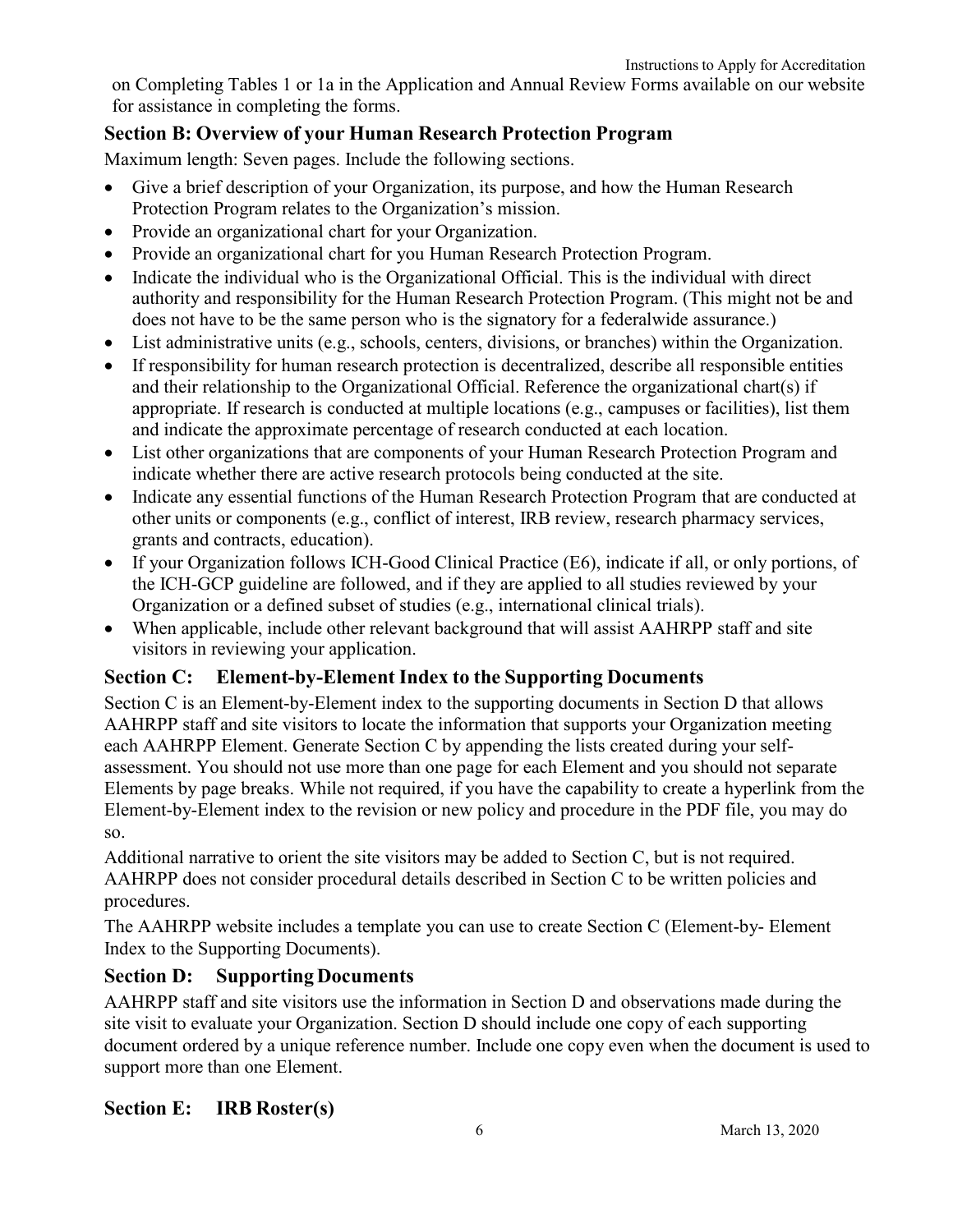on Completing Tables 1 or 1a in the Application and Annual Review Forms available on our website for assistance in completing the forms.

### **Section B: Overview of your Human Research Protection Program**

Maximum length: Seven pages. Include the following sections.

- Give a brief description of your Organization, its purpose, and how the Human Research Protection Program relates to the Organization's mission.
- Provide an organizational chart for your Organization.
- Provide an organizational chart for you Human Research Protection Program.
- Indicate the individual who is the Organizational Official. This is the individual with direct authority and responsibility for the Human Research Protection Program. (This might not be and does not have to be the same person who is the signatory for a federalwide assurance.)
- List administrative units (e.g., schools, centers, divisions, or branches) within the Organization.
- If responsibility for human research protection is decentralized, describe all responsible entities and their relationship to the Organizational Official. Reference the organizational chart(s) if appropriate. If research is conducted at multiple locations (e.g., campuses or facilities), list them and indicate the approximate percentage of research conducted at each location.
- List other organizations that are components of your Human Research Protection Program and indicate whether there are active research protocols being conducted at the site.
- Indicate any essential functions of the Human Research Protection Program that are conducted at other units or components (e.g., conflict of interest, IRB review, research pharmacy services, grants and contracts, education).
- If your Organization follows ICH-Good Clinical Practice (E6), indicate if all, or only portions, of the ICH-GCP guideline are followed, and if they are applied to all studies reviewed by your Organization or a defined subset of studies (e.g., international clinical trials).
- When applicable, include other relevant background that will assist AAHRPP staff and site visitors in reviewing your application.

### **Section C: Element-by-Element Index to the Supporting Documents**

Section C is an Element-by-Element index to the supporting documents in Section D that allows AAHRPP staff and site visitors to locate the information that supports your Organization meeting each AAHRPP Element. Generate Section C by appending the lists created during your selfassessment. You should not use more than one page for each Element and you should not separate Elements by page breaks. While not required, if you have the capability to create a hyperlink from the Element-by-Element index to the revision or new policy and procedure in the PDF file, you may do so.

Additional narrative to orient the site visitors may be added to Section C, but is not required. AAHRPP does not consider procedural details described in Section C to be written policies and procedures.

The AAHRPP website includes a template you can use to create Section C (Element-by- Element Index to the Supporting Documents).

#### **Section D: Supporting Documents**

AAHRPP staff and site visitors use the information in Section D and observations made during the site visit to evaluate your Organization. Section D should include one copy of each supporting document ordered by a unique reference number. Include one copy even when the document is used to support more than one Element.

#### **Section E: IRB Roster(s)**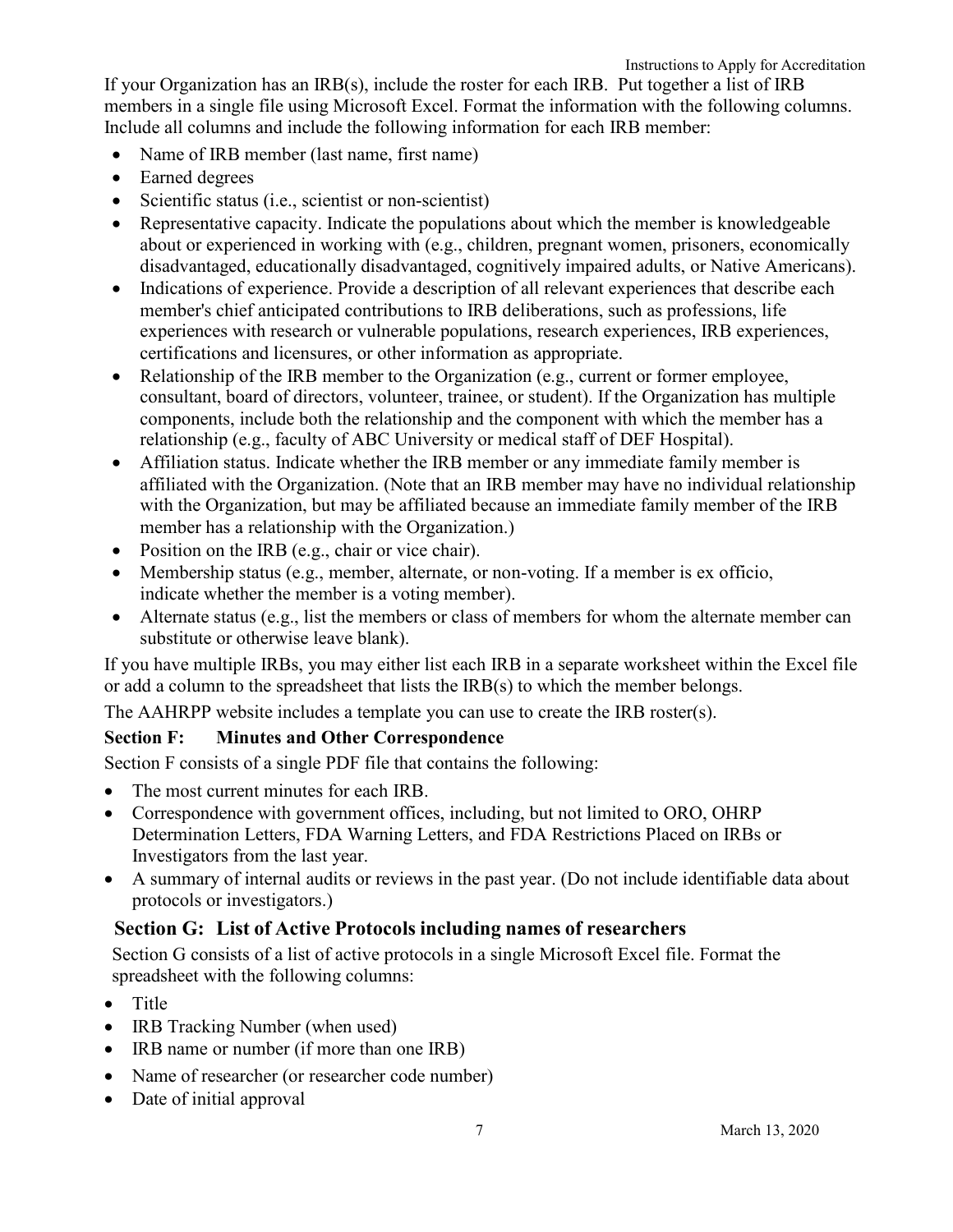- Include all columns and include the following information for each IRB member:
- Name of IRB member (last name, first name)
- Earned degrees
- Scientific status (i.e., scientist or non-scientist)
- Representative capacity. Indicate the populations about which the member is knowledgeable about or experienced in working with (e.g., children, pregnant women, prisoners, economically disadvantaged, educationally disadvantaged, cognitively impaired adults, or Native Americans).
- Indications of experience. Provide a description of all relevant experiences that describe each member's chief anticipated contributions to IRB deliberations, such as professions, life experiences with research or vulnerable populations, research experiences, IRB experiences, certifications and licensures, or other information as appropriate.
- Relationship of the IRB member to the Organization (e.g., current or former employee, consultant, board of directors, volunteer, trainee, or student). If the Organization has multiple components, include both the relationship and the component with which the member has a relationship (e.g., faculty of ABC University or medical staff of DEF Hospital).
- Affiliation status. Indicate whether the IRB member or any immediate family member is affiliated with the Organization. (Note that an IRB member may have no individual relationship with the Organization, but may be affiliated because an immediate family member of the IRB member has a relationship with the Organization.)
- Position on the IRB (e.g., chair or vice chair).
- Membership status (e.g., member, alternate, or non-voting. If a member is ex officio, indicate whether the member is a voting member).
- Alternate status (e.g., list the members or class of members for whom the alternate member can substitute or otherwise leave blank).

If you have multiple IRBs, you may either list each IRB in a separate worksheet within the Excel file or add a column to the spreadsheet that lists the IRB(s) to which the member belongs.

The AAHRPP website includes a template you can use to create the IRB roster(s).

### **Section F: Minutes and Other Correspondence**

Section F consists of a single PDF file that contains the following:

- The most current minutes for each IRB.
- Correspondence with government offices, including, but not limited to ORO, OHRP Determination Letters, FDA Warning Letters, and FDA Restrictions Placed on IRBs or Investigators from the last year.
- A summary of internal audits or reviews in the past year. (Do not include identifiable data about protocols or investigators.)

## **Section G: List of Active Protocols including names of researchers**

Section G consists of a list of active protocols in a single Microsoft Excel file. Format the spreadsheet with the following columns:

- Title
- IRB Tracking Number (when used)
- IRB name or number (if more than one IRB)
- Name of researcher (or researcher code number)
- Date of initial approval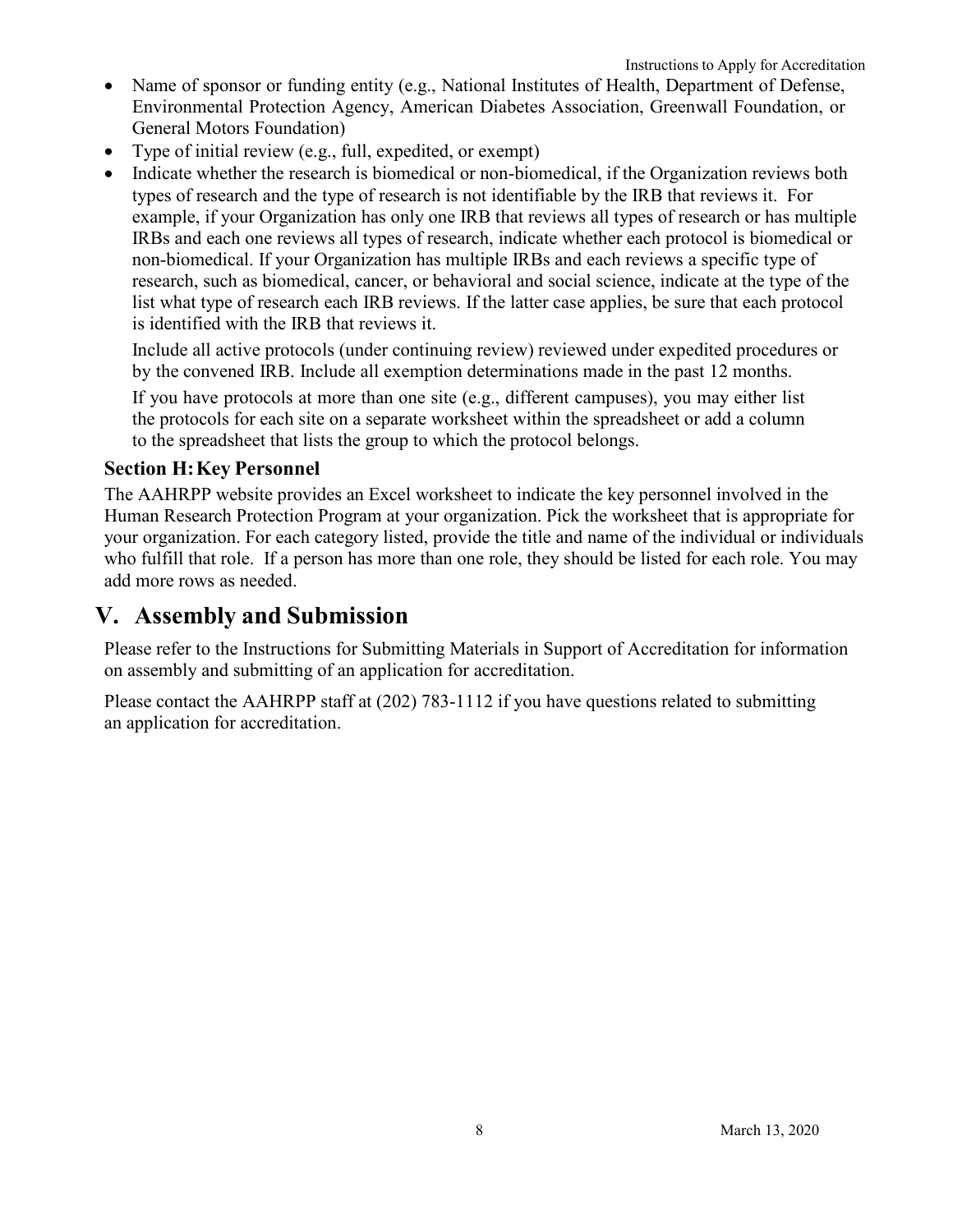- Name of sponsor or funding entity (e.g., National Institutes of Health, Department of Defense, Environmental Protection Agency, American Diabetes Association, Greenwall Foundation, or General Motors Foundation)
- Type of initial review (e.g., full, expedited, or exempt)
- Indicate whether the research is biomedical or non-biomedical, if the Organization reviews both types of research and the type of research is not identifiable by the IRB that reviews it. For example, if your Organization has only one IRB that reviews all types of research or has multiple IRBs and each one reviews all types of research, indicate whether each protocol is biomedical or non-biomedical. If your Organization has multiple IRBs and each reviews a specific type of research, such as biomedical, cancer, or behavioral and social science, indicate at the type of the list what type of research each IRB reviews. If the latter case applies, be sure that each protocol is identified with the IRB that reviews it.

Include all active protocols (under continuing review) reviewed under expedited procedures or by the convened IRB. Include all exemption determinations made in the past 12 months.

If you have protocols at more than one site (e.g., different campuses), you may either list the protocols for each site on a separate worksheet within the spreadsheet or add a column to the spreadsheet that lists the group to which the protocol belongs.

### **Section H:Key Personnel**

The AAHRPP website provides an Excel worksheet to indicate the key personnel involved in the Human Research Protection Program at your organization. Pick the worksheet that is appropriate for your organization. For each category listed, provide the title and name of the individual or individuals who fulfill that role. If a person has more than one role, they should be listed for each role. You may add more rows as needed.

## **V. Assembly and Submission**

Please refer to the Instructions for Submitting Materials in Support of Accreditation for information on assembly and submitting of an application for accreditation.

Please contact the AAHRPP staff at (202) 783-1112 if you have questions related to submitting an application for accreditation.